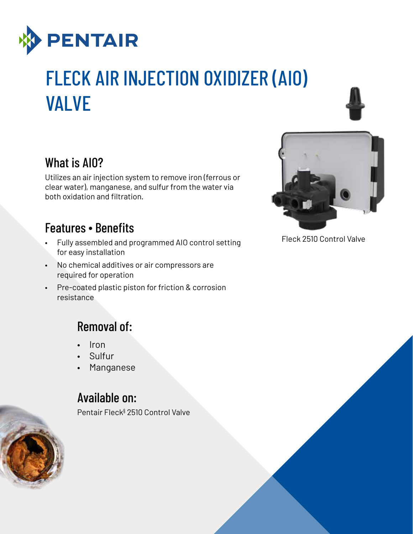

# FLECK AIR INJECTION OXIDIZER (AIO) VALVE





Utilizes an air injection system to remove iron (ferrous or clear water), manganese, and sulfur from the water via both oxidation and filtration.

#### Features ∙ Benefits

- Fully assembled and programmed AIO control setting for easy installation
- No chemical additives or air compressors are required for operation
- Pre-coated plastic piston for friction & corrosion resistance

## Removal of:

- Iron
- Sulfur
- Manganese

## Available on:

Pentair Fleck§ 2510 Control Valve



Fleck 2510 Control Valve